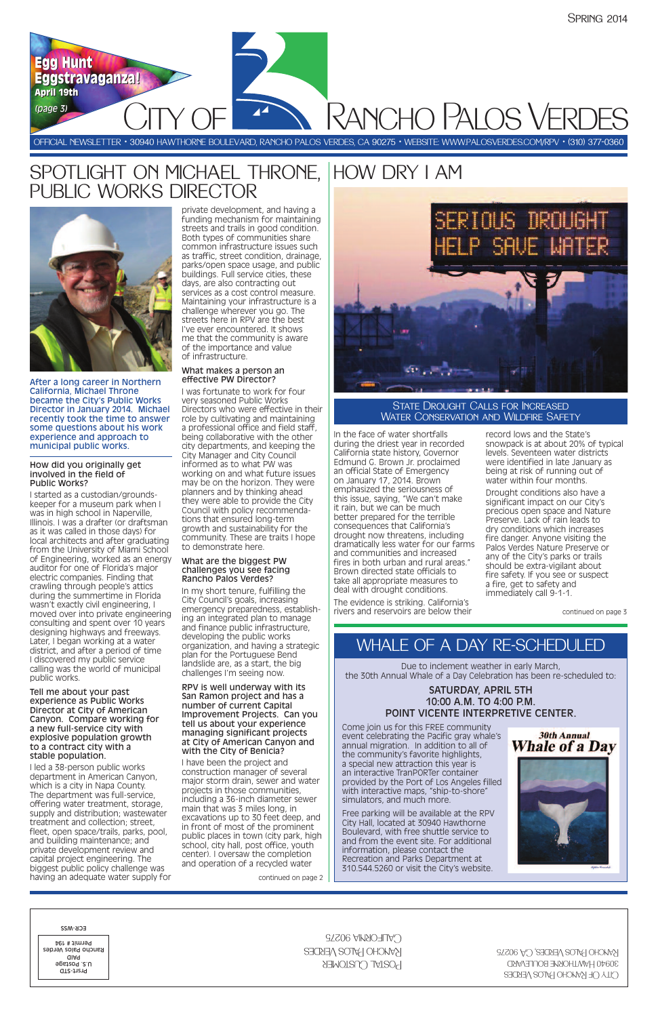**PANCHO PALOS VERE** 

OFFICIAL NEWSLETTER • 30940 HAWTHORNE BOULEVARD, RANCHO PALOS VERDES, CA 90275 • WEBSITE: WWW.PALOSVERDES.COM/RPV • (310) 377-0360

**Egg Hunt Egg Hunt**

**Eggstravaganza! Eggstravaganza!**

**April 19th April 19th** *((ppaaggee 33))*

> In the face of water shortfalls during the driest year in recorded California state history, Governor Edmund G. Brown Jr. proclaimed an official State of Emergency on January 17, 2014. Brown emphasized the seriousness of this issue, saying, "We can't make it rain, but we can be much better prepared for the terrible consequences that California's drought now threatens, including dramatically less water for our farms and communities and increased fires in both urban and rural areas." Brown directed state officials to take all appropriate measures to deal with drought conditions.

The evidence is striking. California's rivers and reservoirs are below their record lows and the State's snowpack is at about 20% of typical levels. Seventeen water districts were identified in late January as being at risk of running out of water within four months.

Drought conditions also have a significant impact on our City's precious open space and Nature Preserve. Lack of rain leads to dry conditions which increases fire danger. Anyone visiting the Palos Verdes Nature Preserve or any of the City's parks or trails should be extra-vigilant about fire safety. If you see or suspect a fire, get to safety and immediately call 9-1-1.

# SPOTLIGHT ON MICHAEL THRONE, PUBLIC WORKS DIRECTOR



After a long career in Northern California, Michael Throne became the City's Public Works Director in January 2014. Michael recently took the time to answer some questions about his work experience and approach to municipal public works.

#### How did you originally get involved in the field of Public Works?

I started as a custodian/groundskeeper for a museum park when I was in high school in Naperville, Illinois. I was a drafter (or draftsman as it was called in those days) for local architects and after graduating from the University of Miami School of Engineering, worked as an energy auditor for one of Florida's major electric companies. Finding that crawling through people's attics during the summertime in Florida wasn't exactly civil engineering, I moved over into private engineering consulting and spent over 10 years designing highways and freeways. Later, I began working at a water district, and after a period of time I discovered my public service calling was the world of municipal public works.

### State Drought Calls for Increased WATER CONSERVATION AND WILDFIRE SAFETY

Tell me about your past experience as Public Works Director at City of American Canyon. Compare working for a new full-service city with explosive population growth to a contract city with a

# stable population.

I led a 38-person public works department in American Canyon, which is a city in Napa County. The department was full-service, offering water treatment, storage, supply and distribution; wastewater treatment and collection; street, fleet, open space/trails, parks, pool, and building maintenance; and private development review and capital project engineering. The biggest public policy challenge was having an adequate water supply for private development, and having a funding mechanism for maintaining streets and trails in good condition. Both types of communities share common infrastructure issues such as traffic, street condition, drainage, parks/open space usage, and public buildings. Full service cities, these days, are also contracting out services as a cost control measure. Maintaining your infrastructure is a challenge wherever you go. The streets here in RPV are the best I've ever encountered. It shows me that the community is aware of the importance and value of infrastructure.

### What makes a person an effective PW Director?

I was fortunate to work for four very seasoned Public Works Directors who were effective in their role by cultivating and maintaining a professional office and field staff, being collaborative with the other city departments, and keeping the City Manager and City Council informed as to what PW was working on and what future issues may be on the horizon. They were planners and by thinking ahead they were able to provide the City Council with policy recommendations that ensured long-term growth and sustainability for the community. These are traits I hope to demonstrate here.

#### What are the biggest PW challenges you see facing Rancho Palos Verdes?

In my short tenure, fulfilling the City Council's goals, increasing emergency preparedness, establishing an integrated plan to manage and finance public infrastructure, developing the public works organization, and having a strategic plan for the Portuguese Bend landslide are, as a start, the big challenges I'm seeing now.

RPV is well underway with its San Ramon project and has a number of current Capital Improvement Projects. Can you tell us about your experience managing significant projects at City of American Canyon and

#### with the City of Benicia?

I have been the project and construction manager of several major storm drain, sewer and water projects in those communities, including a 36-inch diameter sewer main that was 3 miles long, in excavations up to 30 feet deep, and in front of most of the prominent public places in town (city park, high school, city hall, post office, youth center). I oversaw the completion and operation of a recycled water

continued on page 3

# HOW DRY I AM



continued on page 2



| ECK-M22<br>Permit # 194<br>Rancho Palos Verdes<br>aiaq<br>U.S. Postage<br>Prsrt-STD | CALIFORNIA 90275<br>KANCHO PALOS VERDES<br>POSTAL CUSTOMER | RANCHO PALOS VERDES, CA 90275<br>30940 HAWTHORNE BOULEVARD<br>CITY OF RANCHO PALOS VERDES |
|-------------------------------------------------------------------------------------|------------------------------------------------------------|-------------------------------------------------------------------------------------------|
|-------------------------------------------------------------------------------------|------------------------------------------------------------|-------------------------------------------------------------------------------------------|

Due to inclement weather in early March, the 30th Annual Whale of a Day Celebration has been re-scheduled to:

### SATURDAY, APRIL 5TH 10:00 A.M. TO 4:00 P.M. POINT VICENTE INTERPRETIVE CENTER.

Come join us for this FREE community event celebrating the Pacific gray whale's annual migration. In addition to all of the community's favorite highlights, a special new attraction this year is an interactive TranPORTer container provided by the Port of Los Angeles filled with interactive maps, "ship-to-shore" simulators, and much more. Free parking will be available at the RPV City Hall, located at 30940 Hawthorne Boulevard, with free shuttle service to and from the event site. For additional information, please contact the Recreation and Parks Department at 310.544.5260 or visit the City's website.

**30th Annual Whale of a Day** 

# WHALE OF A DAY RE-SCHEDULED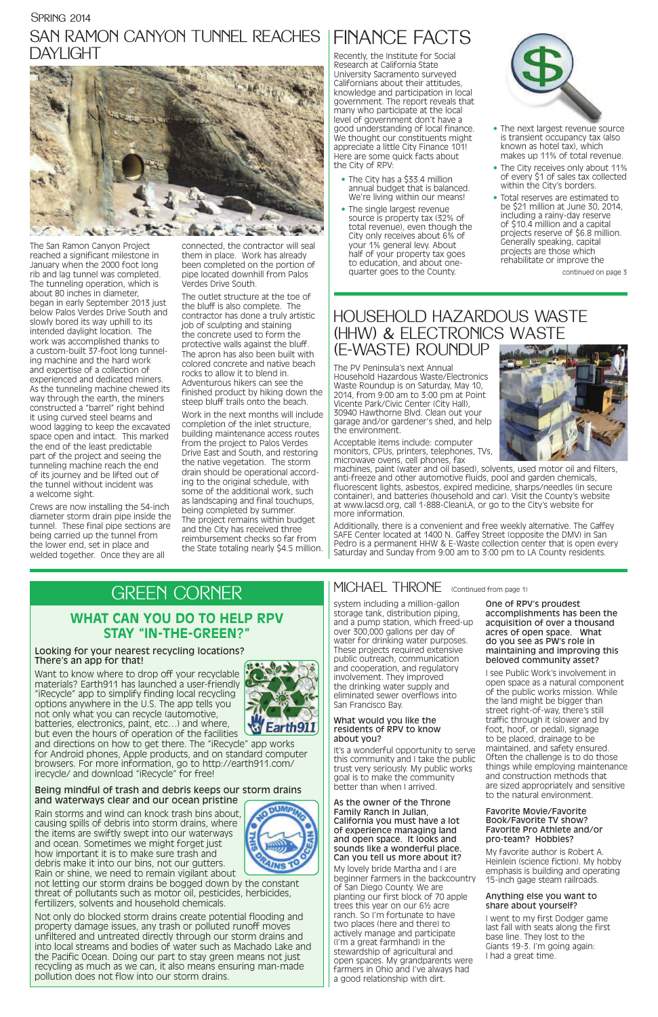# HOUSEHOLD HAZARDOUS WASTE (HHW) & ELECTRONICS WASTE (E-WASTE) ROUNDUP

The PV Peninsula's next Annual Household Hazardous Waste/Electronics Waste Roundup is on Saturday, May 10, 2014, from 9:00 am to 3:00 pm at Point Vicente Park/Civic Center (City Hall), 30940 Hawthorne Blvd. Clean out your garage and/or gardener's shed, and help the environment.

Acceptable items include: computer monitors, CPUs, printers, telephones, TVs, microwave ovens, cell phones, fax

machines, paint (water and oil based), solvents, used motor oil and filters, anti-freeze and other automotive fluids, pool and garden chemicals, fluorescent lights, asbestos, expired medicine, sharps/needles (in secure container), and batteries (household and car). Visit the County's website at www.lacsd.org, call 1-888-CleanLA, or go to the City's website for more information.

Additionally, there is a convenient and free weekly alternative. The Gaffey SAFE Center located at 1400 N. Gaffey Street (opposite the DMV) in San Pedro is a permanent HHW & E-Waste collection center that is open every Saturday and Sunday from 9:00 am to 3:00 pm to LA County residents.

system including a million-gallon storage tank, distribution piping, and a pump station, which freed-up over 300,000 gallons per day of water for drinking water purposes. These projects required extensive public outreach, communication and cooperation, and regulatory involvement. They improved the drinking water supply and eliminated sewer overflows into San Francisco Bay.

### What would you like the residents of RPV to know about you?

It's a wonderful opportunity to serve this community and I take the public trust very seriously. My public works goal is to make the community better than when I arrived.

# SPRING 2014 SAN RAMON CANYON TUNNEL REACHES | FINANCE FACTS DAYLIGHT



#### As the owner of the Throne Family Ranch in Julian, California you must have a lot of experience managing land and open space. It looks and sounds like a wonderful place. Can you tell us more about it?

My lovely bride Martha and I are beginner farmers in the backcountry of San Diego County. We are planting our first block of 70 apple trees this year on our 6½ acre ranch. So I'm fortunate to have two places (here and there) to actively manage and participate (I'm a great farmhand) in the stewardship of agricultural and open spaces. My grandparents were farmers in Ohio and I've always had a good relationship with dirt.

One of RPV's proudest accomplishments has been the acquisition of over a thousand acres of open space. What do you see as PW's role in maintaining and improving this beloved community asset?

I see Public Work's involvement in open space as a natural component of the public works mission. While the land might be bigger than street right-of-way, there's still traffic through it (slower and by foot, hoof, or pedal), signage to be placed, drainage to be maintained, and safety ensured. Often the challenge is to do those things while employing maintenance and construction methods that are sized appropriately and sensitive to the natural environment.



Want to know where to drop off your recyclable materials? Earth911 has launched a user-friendly "iRecycle" app to simplify finding local recycling options anywhere in the U.S. The app tells you not only what you can recycle (automotive, batteries, electronics, paint, etc…) and where, but even the hours of operation of the facilities



### Favorite Movie/Favorite Book/Favorite TV show? Favorite Pro Athlete and/or pro-team? Hobbies?

My favorite author is Robert A. Heinlein (science fiction). My hobby emphasis is building and operating 15-inch gage steam railroads.

### Anything else you want to share about yourself?

I went to my first Dodger game last fall with seats along the first base line. They lost to the Giants 19-3. I'm going again: I had a great time.

The San Ramon Canyon Project reached a significant milestone in January when the 2000 foot long rib and lag tunnel was completed. The tunneling operation, which is about 80 inches in diameter, began in early September 2013 just below Palos Verdes Drive South and slowly bored its way uphill to its intended daylight location. The work was accomplished thanks to a custom-built 37-foot long tunneling machine and the hard work and expertise of a collection of experienced and dedicated miners. As the tunneling machine chewed its way through the earth, the miners constructed a "barrel" right behind it using curved steel beams and wood lagging to keep the excavated space open and intact. This marked the end of the least predictable part of the project and seeing the tunneling machine reach the end of its journey and be lifted out of the tunnel without incident was a welcome sight.

- The City has a \$33.4 million annual budget that is balanced. We're living within our means!
- The single largest revenue source is property tax (32% of total revenue), even though the City only receives about 6% of your 1% general levy. About half of your property tax goes to education, and about onequarter goes to the County.



Crews are now installing the 54-inch diameter storm drain pipe inside the tunnel. These final pipe sections are being carried up the tunnel from the lower end, set in place and welded together. Once they are all

connected, the contractor will seal them in place. Work has already been completed on the portion of pipe located downhill from Palos Verdes Drive South.

The outlet structure at the toe of the bluff is also complete. The contractor has done a truly artistic job of sculpting and staining the concrete used to form the protective walls against the bluff. The apron has also been built with colored concrete and native beach rocks to allow it to blend in. Adventurous hikers can see the finished product by hiking down the steep bluff trails onto the beach.

Work in the next months will include completion of the inlet structure, building maintenance access routes from the project to Palos Verdes Drive East and South, and restoring the native vegetation. The storm drain should be operational according to the original schedule, with some of the additional work, such as landscaping and final touchups, being completed by summer. The project remains within budget and the City has received three reimbursement checks so far from the State totaling nearly \$4.5 million.

# GREEN CORNER

### Looking for your nearest recycling locations? There's an app for that!

and directions on how to get there. The "iRecycle" app works for Android phones, Apple products, and on standard computer browsers. For more information, go to http://earth911.com/ irecycle/ and download "iRecycle" for free!

# MICHAEL THRONE (Continued from page 1)

### Being mindful of trash and debris keeps our storm drains and waterways clear and our ocean pristine

Rain storms and wind can knock trash bins about, causing spills of debris into storm drains, where the items are swiftly swept into our waterways and ocean. Sometimes we might forget just how important it is to make sure trash and debris make it into our bins, not our gutters. Rain or shine, we need to remain vigilant about



not letting our storm drains be bogged down by the constant threat of pollutants such as motor oil, pesticides, herbicides, fertilizers, solvents and household chemicals.

Not only do blocked storm drains create potential flooding and property damage issues, any trash or polluted runoff moves unfiltered and untreated directly through our storm drains and into local streams and bodies of water such as Machado Lake and the Pacific Ocean. Doing our part to stay green means not just recycling as much as we can, it also means ensuring man-made pollution does not flow into our storm drains.

# **WHAT CAN YOU DO TO HELP RPV STAY "IN-THE-GREEN?"**

Recently, the Institute for Social Research at California State University Sacramento surveyed Californians about their attitudes, knowledge and participation in local government. The report reveals that many who participate at the local level of government don't have a good understanding of local finance. We thought our constituents might appreciate a little City Finance 101! Here are some quick facts about the City of RPV:

- The next largest revenue source is transient occupancy tax (also known as hotel tax), which makes up 11% of total revenue.
- The City receives only about 11% of every \$1 of sales tax collected within the City's borders.
- Total reserves are estimated to be \$21 million at June 30, 2014, including a rainy-day reserve of \$10.4 million and a capital projects reserve of \$6.8 million. Generally speaking, capital projects are those which rehabilitate or improve the

continued on page 3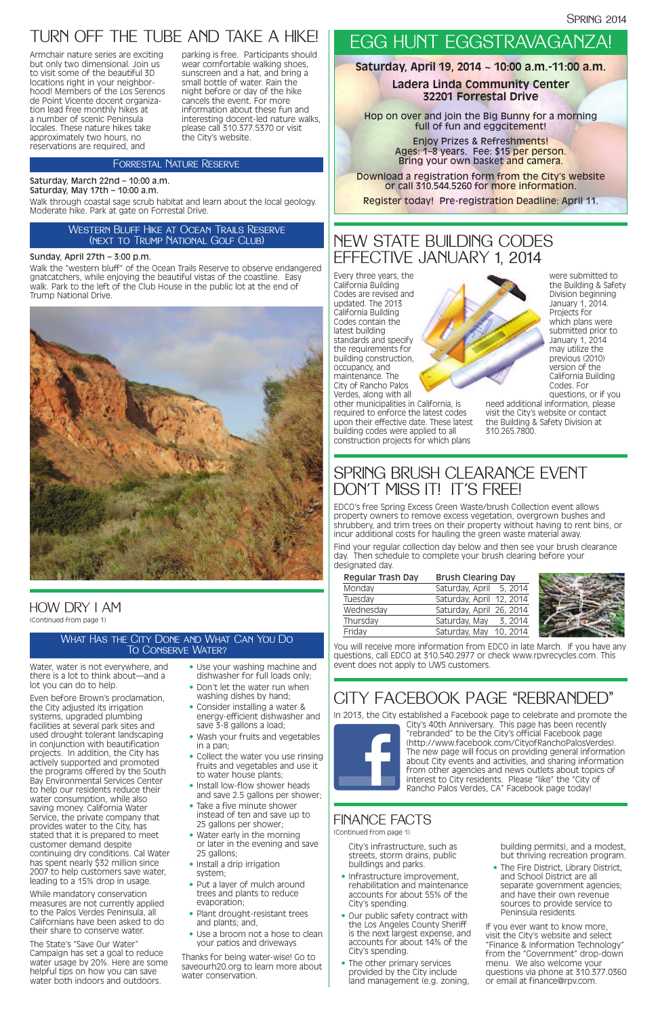# FINANCE FACTS

(Continued from page 1)

# HOW DRY I AM (Continued from page 1)

# SPRING BRUSH CLEARANCE EVENT DON'T MISS IT! IT'S FREE!

EDCO's free Spring Excess Green Waste/brush Collection event allows property owners to remove excess vegetation, overgrown bushes and shrubbery, and trim trees on their property without having to rent bins, or incur additional costs for hauling the green waste material away.

Find your regular collection day below and then see your brush clearance day. Then schedule to complete your brush clearing before your designated day.

| Regular Trash Day | <b>Brush Clearing Day</b> |         |  |
|-------------------|---------------------------|---------|--|
| Monday            | Saturday, April 5, 2014   |         |  |
| Tuesday           | Saturday, April 12, 2014  |         |  |
| Wednesday         | Saturday, April 26, 2014  |         |  |
| Thursday          | Saturday, May             | 3, 2014 |  |
| Friday            | Saturday, May 10, 2014    |         |  |
|                   |                           |         |  |



You will receive more information from EDCO in late March. If you have any questions, call EDCO at 310.540.2977 or check www.rpvrecycles.com. This event does not apply to UWS customers.

City's infrastructure, such as streets, storm drains, public buildings and parks.

- Infrastructure improvement, rehabilitation and maintenance accounts for about 55% of the City's spending.
- Our public safety contract with the Los Angeles County Sheriff is the next largest expense, and accounts for about 14% of the City's spending.
- The other primary services provided by the City include land management (e.g. zoning,

building permits), and a modest, but thriving recreation program.

- Use your washing machine and dishwasher for full loads only;
- Don't let the water run when washing dishes by hand;
- Consider installing a water & energy-efficient dishwasher and save 3-8 gallons a load;
- Wash your fruits and vegetables in a pan $\cdot$

• The Fire District, Library District, and School District are all separate government agencies; and have their own revenue sources to provide service to Peninsula residents.

If you ever want to know more, visit the City's website and select "Finance & Information Technology" from the "Government" drop-down menu. We also welcome your questions via phone at 310.377.0360 or email at finance@rpv.com.

### What Has the City Done and What Can You Do To Conserve Water?

- Collect the water you use rinsing fruits and vegetables and use it to water house plants;
- Install low-flow shower heads and save 2.5 gallons per shower;
- Take a five minute shower instead of ten and save up to 25 gallons per shower;
- Water early in the morning or later in the evening and save 25 gallons;
- Install a drip irrigation system;
- Put a laver of mulch around trees and plants to reduce evaporation;
- Plant drought-resistant trees and plants; and,
- Use a broom not a hose to clean your patios and driveways

Water, water is not everywhere, and there is a lot to think about—and a lot you can do to help.

Hop on over and join the Big Bunny for a morning full of fun and eggcitement!

Even before Brown's proclamation, the City adjusted its irrigation systems, upgraded plumbing facilities at several park sites and used drought tolerant landscaping in conjunction with beautification projects. In addition, the City has actively supported and promoted the programs offered by the South Bay Environmental Services Center to help our residents reduce their water consumption, while also saving money. California Water Service, the private company that provides water to the City, has stated that it is prepared to meet customer demand despite continuing dry conditions. Cal Water has spent nearly \$32 million since 2007 to help customers save water, leading to a 15% drop in usage.

While mandatory conservation measures are not currently applied to the Palos Verdes Peninsula, all Californians have been asked to do their share to conserve water.

The State's "Save Our Water" Campaign has set a goal to reduce water usage by 20%. Here are some helpful tips on how you can save water both indoors and outdoors.

Thanks for being water-wise! Go to saveourh20.org to learn more about water conservation.



# EGG HUNT EGGSTRAVAGANZA!

**Saturday, April 19, 2014 ~ 10:00 a.m.-11:00 a.m.**

# **Ladera Linda Community Center 32201 Forrestal Drive**

Enjoy Prizes & Refreshments! Ages: 1–8 years. Fee: \$15 per person. Bring your own basket and camera.

Download a registration form from the City's website or call 310.544.5260 for more information.

Register today! Pre-registration Deadline: April 11.

# NEW STATE BUILDING CODES EFFECTIVE JANUARY 1, 2014

Every three years, the California Building Codes are revised and updated. The 2013 California Building Codes contain the latest building standards and specify the requirements for building construction, occupancy, and maintenance. The City of Rancho Palos Verdes, along with all

other municipalities in California, is required to enforce the latest codes upon their effective date. These latest building codes were applied to all construction projects for which plans

were submitted to the Building & Safety Division beginning January 1, 2014. Projects for which plans were submitted prior to January 1, 2014 may utilize the previous (2010) version of the California Building Codes. For questions, or if you

need additional information, please visit the City's website or contact the Building & Safety Division at 310.265.7800.

# TURN OFF THE TUBE AND TAKE A HIKE!

### Sunday, April 27th – 3:00 p.m.

Walk the "western bluff" of the Ocean Trails Reserve to observe endangered gnatcatchers, while enjoying the beautiful vistas of the coastline. Easy walk. Park to the left of the Club House in the public lot at the end of Trump National Drive.



## Forrestal Nature Reserve

## Western Bluff Hike at Ocean Trails Reserve (next to Trump National Golf Club)

Armchair nature series are exciting but only two dimensional. Join us to visit some of the beautiful 3D locations right in your neighborhood! Members of the Los Serenos de Point Vicente docent organization lead free monthly hikes at a number of scenic Peninsula locales. These nature hikes take approximately two hours, no reservations are required, and

parking is free. Participants should wear comfortable walking shoes, sunscreen and a hat, and bring a small bottle of water. Rain the night before or day of the hike cancels the event. For more information about these fun and interesting docent-led nature walks, please call 310.377.5370 or visit the City's website.

#### Saturday, March 22nd – 10:00 a.m. Saturday, May 17th – 10:00 a.m.

Walk through coastal sage scrub habitat and learn about the local geology. Moderate hike. Park at gate on Forrestal Drive.

# CITY FACEBOOK PAGE "REBRANDED"

In 2013, the City established a Facebook page to celebrate and promote the



City's 40th Anniversary. This page has been recently "rebranded" to be the City's official Facebook page (http://www.facebook.com/CityofRanchoPalosVerdes). The new page will focus on providing general information about City events and activities, and sharing information from other agencies and news outlets about topics of interest to City residents. Please "like" the "City of Rancho Palos Verdes, CA" Facebook page today!